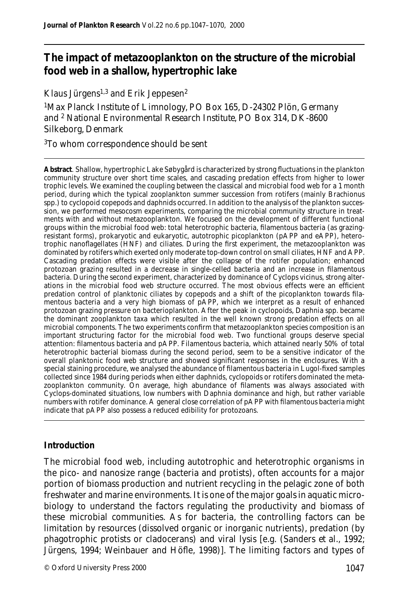# **The impact of metazooplankton on the structure of the microbial food web in a shallow, hypertrophic lake**

Klaus Jürgens<sup>1,3</sup> and Erik Jeppesen<sup>2</sup>

*1Max Planck Institute of Limnology, PO Box 165, D-24302 Plön, Germany and 2 National Environmental Research Institute, PO Box 314, DK-8600 Silkeborg, Denmark* 

*3To whom correspondence should be sent*

**Abstract**. Shallow, hypertrophic Lake Søbygård is characterized by strong fluctuations in the plankton community structure over short time scales, and cascading predation effects from higher to lower trophic levels. We examined the coupling between the classical and microbial food web for a 1 month period, during which the typical zooplankton summer succession from rotifers (mainly *Brachionus* spp.) to cyclopoid copepods and daphnids occurred. In addition to the analysis of the plankton succession, we performed mesocosm experiments, comparing the microbial community structure in treatments with and without metazooplankton. We focused on the development of different functional groups within the microbial food web: total heterotrophic bacteria, filamentous bacteria (as grazingresistant forms), prokaryotic and eukaryotic, autotrophic picoplankton (pAPP and eAPP), heterotrophic nanoflagellates (HNF) and ciliates. During the first experiment, the metazooplankton was dominated by rotifers which exerted only moderate top-down control on small ciliates, HNF and APP. Cascading predation effects were visible after the collapse of the rotifer population; enhanced protozoan grazing resulted in a decrease in single-celled bacteria and an increase in filamentous bacteria. During the second experiment, characterized by dominance of *Cyclops vicinus*, strong alterations in the microbial food web structure occurred. The most obvious effects were an efficient predation control of planktonic ciliates by copepods and a shift of the picoplankton towards filamentous bacteria and a very high biomass of pAPP, which we interpret as a result of enhanced protozoan grazing pressure on bacterioplankton. After the peak in cyclopoids, *Daphnia* spp. became the dominant zooplankton taxa which resulted in the well known strong predation effects on all microbial components. The two experiments confirm that metazooplankton species composition is an important structuring factor for the microbial food web. Two functional groups deserve special attention: filamentous bacteria and pAPP. Filamentous bacteria, which attained nearly 50% of total heterotrophic bacterial biomass during the second period, seem to be a sensitive indicator of the overall planktonic food web structure and showed significant responses in the enclosures. With a special staining procedure, we analysed the abundance of filamentous bacteria in Lugol-fixed samples collected since 1984 during periods when either daphnids, cyclopoids or rotifers dominated the metazooplankton community. On average, high abundance of filaments was always associated with *Cyclops*-dominated situations, low numbers with *Daphnia* dominance and high, but rather variable numbers with rotifer dominance. A general close correlation of pAPP with filamentous bacteria might indicate that pAPP also possess a reduced edibility for protozoans.

### **Introduction**

The microbial food web, including autotrophic and heterotrophic organisms in the pico- and nanosize range (bacteria and protists), often accounts for a major portion of biomass production and nutrient recycling in the pelagic zone of both freshwater and marine environments. It is one of the major goals in aquatic microbiology to understand the factors regulating the productivity and biomass of these microbial communities. As for bacteria, the controlling factors can be limitation by resources (dissolved organic or inorganic nutrients), predation (by phagotrophic protists or cladocerans) and viral lysis [e.g. (Sanders *et al*., 1992; Jürgens, 1994; Weinbauer and Höfle, 1998)]. The limiting factors and types of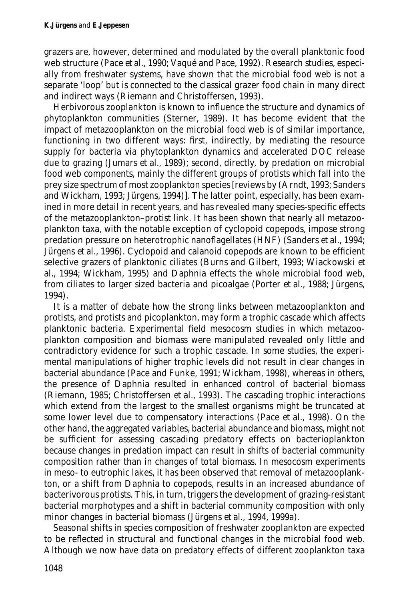grazers are, however, determined and modulated by the overall planktonic food web structure (Pace *et al.*, 1990; Vaqué and Pace, 1992). Research studies, especially from freshwater systems, have shown that the microbial food web is not a separate 'loop' but is connected to the classical grazer food chain in many direct and indirect ways (Riemann and Christoffersen, 1993).

Herbivorous zooplankton is known to influence the structure and dynamics of phytoplankton communities (Sterner, 1989). It has become evident that the impact of metazooplankton on the microbial food web is of similar importance, functioning in two different ways: first, indirectly, by mediating the resource supply for bacteria via phytoplankton dynamics and accelerated DOC release due to grazing (Jumars *et al.*, 1989); second, directly, by predation on microbial food web components, mainly the different groups of protists which fall into the prey size spectrum of most zooplankton species [reviews by (Arndt, 1993; Sanders and Wickham, 1993; Jürgens, 1994)]. The latter point, especially, has been examined in more detail in recent years, and has revealed many species-specific effects of the metazooplankton–protist link. It has been shown that nearly all metazooplankton taxa, with the notable exception of cyclopoid copepods, impose strong predation pressure on heterotrophic nanoflagellates (HNF) (Sanders *et al*., 1994; Jürgens *et al.*, 1996). Cyclopoid and calanoid copepods are known to be efficient selective grazers of planktonic ciliates (Burns and Gilbert, 1993; Wiackowski *et al.*, 1994; Wickham, 1995) and *Daphnia* effects the whole microbial food web, from ciliates to larger sized bacteria and picoalgae (Porter *et al.*, 1988; Jürgens, 1994).

It is a matter of debate how the strong links between metazooplankton and protists, and protists and picoplankton, may form a trophic cascade which affects planktonic bacteria. Experimental field mesocosm studies in which metazooplankton composition and biomass were manipulated revealed only little and contradictory evidence for such a trophic cascade. In some studies, the experimental manipulations of higher trophic levels did not result in clear changes in bacterial abundance (Pace and Funke, 1991; Wickham, 1998), whereas in others, the presence of *Daphnia* resulted in enhanced control of bacterial biomass (Riemann, 1985; Christoffersen *et al.*, 1993). The cascading trophic interactions which extend from the largest to the smallest organisms might be truncated at some lower level due to compensatory interactions (Pace *et al*., 1998). On the other hand, the aggregated variables, bacterial abundance and biomass, might not be sufficient for assessing cascading predatory effects on bacterioplankton because changes in predation impact can result in shifts of bacterial community composition rather than in changes of total biomass. In mesocosm experiments in meso- to eutrophic lakes, it has been observed that removal of metazooplankton, or a shift from *Daphnia* to copepods, results in an increased abundance of bacterivorous protists. This, in turn, triggers the development of grazing-resistant bacterial morphotypes and a shift in bacterial community composition with only minor changes in bacterial biomass (Jürgens *et al.*, 1994, 1999a).

Seasonal shifts in species composition of freshwater zooplankton are expected to be reflected in structural and functional changes in the microbial food web. Although we now have data on predatory effects of different zooplankton taxa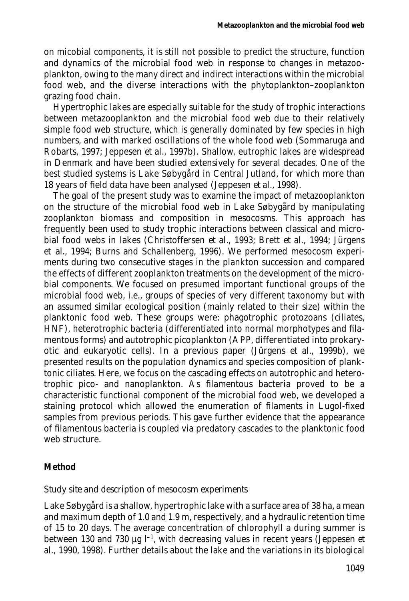on micobial components, it is still not possible to predict the structure, function and dynamics of the microbial food web in response to changes in metazooplankton, owing to the many direct and indirect interactions within the microbial food web, and the diverse interactions with the phytoplankton–zooplankton grazing food chain.

Hypertrophic lakes are especially suitable for the study of trophic interactions between metazooplankton and the microbial food web due to their relatively simple food web structure, which is generally dominated by few species in high numbers, and with marked oscillations of the whole food web (Sommaruga and Robarts, 1997; Jeppesen *et al*., 1997b). Shallow, eutrophic lakes are widespread in Denmark and have been studied extensively for several decades. One of the best studied systems is Lake Søbygård in Central Jutland, for which more than 18 years of field data have been analysed (Jeppesen *et al.*, 1998).

The goal of the present study was to examine the impact of metazooplankton on the structure of the microbial food web in Lake Søbygård by manipulating zooplankton biomass and composition in mesocosms. This approach has frequently been used to study trophic interactions between classical and microbial food webs in lakes (Christoffersen *et al.*, 1993; Brett *et al.*, 1994; Jürgens *et al*., 1994; Burns and Schallenberg, 1996). We performed mesocosm experiments during two consecutive stages in the plankton succession and compared the effects of different zooplankton treatments on the development of the microbial components. We focused on presumed important functional groups of the microbial food web, i.e., groups of species of very different taxonomy but with an assumed similar ecological position (mainly related to their size) within the planktonic food web. These groups were: phagotrophic protozoans (ciliates, HNF), heterotrophic bacteria (differentiated into normal morphotypes and filamentous forms) and autotrophic picoplankton (APP, differentiated into prokaryotic and eukaryotic cells). In a previous paper (Jürgens *et al*., 1999b), we presented results on the population dynamics and species composition of planktonic ciliates. Here, we focus on the cascading effects on autotrophic and heterotrophic pico- and nanoplankton. As filamentous bacteria proved to be a characteristic functional component of the microbial food web, we developed a staining protocol which allowed the enumeration of filaments in Lugol-fixed samples from previous periods. This gave further evidence that the appearance of filamentous bacteria is coupled via predatory cascades to the planktonic food web structure.

# **Method**

# *Study site and description of mesocosm experiments*

Lake Søbygård is a shallow, hypertrophic lake with a surface area of 38 ha, a mean and maximum depth of 1.0 and 1.9 m, respectively, and a hydraulic retention time of 15 to 20 days. The average concentration of chlorophyll *a* during summer is between 130 and 730 µg l–1, with decreasing values in recent years (Jeppesen *et al.*, 1990, 1998). Further details about the lake and the variations in its biological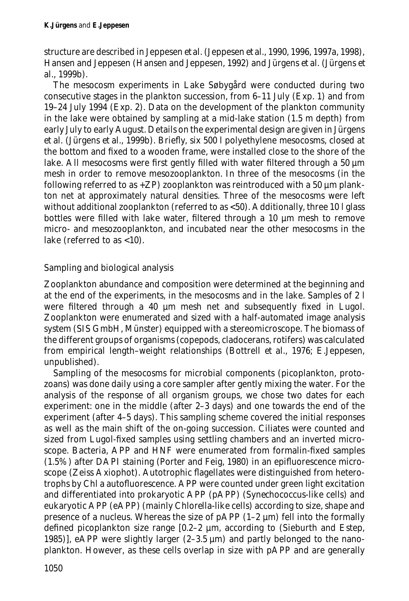structure are described in Jeppesen *et al*. (Jeppesen *et al*., 1990, 1996, 1997a, 1998), Hansen and Jeppesen (Hansen and Jeppesen, 1992) and Jürgens *et al.* (Jürgens *et al.*, 1999b).

The mesocosm experiments in Lake Søbygård were conducted during two consecutive stages in the plankton succession, from 6–11 July (Exp. 1) and from 19–24 July 1994 (Exp. 2). Data on the development of the plankton community in the lake were obtained by sampling at a mid-lake station (1.5 m depth) from early July to early August. Details on the experimental design are given in Jürgens *et al.* (Jürgens *et al.*, 1999b). Briefly, six 500 l polyethylene mesocosms, closed at the bottom and fixed to a wooden frame, were installed close to the shore of the lake. All mesocosms were first gently filled with water filtered through a 50  $\mu$ m mesh in order to remove mesozooplankton. In three of the mesocosms (in the following referred to as  $+ZP$ ) zooplankton was reintroduced with a 50  $\mu$ m plankton net at approximately natural densities. Three of the mesocosms were left without additional zooplankton (referred to as <50). Additionally, three 10 l glass bottles were filled with lake water, filtered through a 10 µm mesh to remove micro- and mesozooplankton, and incubated near the other mesocosms in the lake (referred to as <10).

# *Sampling and biological analysis*

Zooplankton abundance and composition were determined at the beginning and at the end of the experiments, in the mesocosms and in the lake. Samples of 2 l were filtered through a 40 µm mesh net and subsequently fixed in Lugol. Zooplankton were enumerated and sized with a half-automated image analysis system (SIS GmbH, Münster) equipped with a stereomicroscope. The biomass of the different groups of organisms (copepods, cladocerans, rotifers) was calculated from empirical length–weight relationships (Bottrell *et al*., 1976; E.Jeppesen, unpublished).

Sampling of the mesocosms for microbial components (picoplankton, protozoans) was done daily using a core sampler after gently mixing the water. For the analysis of the response of all organism groups, we chose two dates for each experiment: one in the middle (after 2–3 days) and one towards the end of the experiment (after 4–5 days). This sampling scheme covered the initial responses as well as the main shift of the on-going succession. Ciliates were counted and sized from Lugol-fixed samples using settling chambers and an inverted microscope. Bacteria, APP and HNF were enumerated from formalin-fixed samples (1.5%) after DAPI staining (Porter and Feig, 1980) in an epifluorescence microscope (Zeiss Axiophot). Autotrophic flagellates were distinguished from heterotrophs by Chl *a* autofluorescence. APP were counted under green light excitation and differentiated into prokaryotic APP (pAPP) (*Synechococcus-*like cells) and eukaryotic APP (eAPP) (mainly *Chlorella*-like cells) according to size, shape and presence of a nucleus. Whereas the size of pAPP (1–2 µm) fell into the formally defined picoplankton size range [0.2–2 µm, according to (Sieburth and Estep, 1985)], eAPP were slightly larger (2–3.5 µm) and partly belonged to the nanoplankton. However, as these cells overlap in size with pAPP and are generally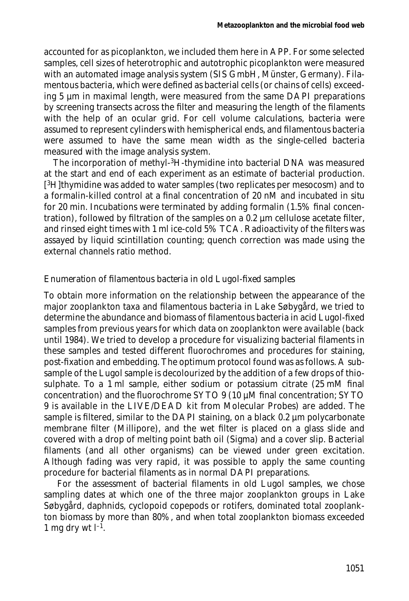accounted for as picoplankton, we included them here in APP. For some selected samples, cell sizes of heterotrophic and autotrophic picoplankton were measured with an automated image analysis system (SIS GmbH, Münster, Germany). Filamentous bacteria, which were defined as bacterial cells (or chains of cells) exceeding 5 µm in maximal length, were measured from the same DAPI preparations by screening transects across the filter and measuring the length of the filaments with the help of an ocular grid. For cell volume calculations, bacteria were assumed to represent cylinders with hemispherical ends, and filamentous bacteria were assumed to have the same mean width as the single-celled bacteria measured with the image analysis system.

The incorporation of methyl-3H-thymidine into bacterial DNA was measured at the start and end of each experiment as an estimate of bacterial production.  $[3H]$ thymidine was added to water samples (two replicates per mesocosm) and to a formalin-killed control at a final concentration of 20 nM and incubated *in situ* for 20 min. Incubations were terminated by adding formalin (1.5% final concentration), followed by filtration of the samples on a 0.2 µm cellulose acetate filter, and rinsed eight times with 1 ml ice-cold 5% TCA. Radioactivity of the filters was assayed by liquid scintillation counting; quench correction was made using the external channels ratio method.

### *Enumeration of filamentous bacteria in old Lugol-fixed samples*

To obtain more information on the relationship between the appearance of the major zooplankton taxa and filamentous bacteria in Lake Søbygård, we tried to determine the abundance and biomass of filamentous bacteria in acid Lugol-fixed samples from previous years for which data on zooplankton were available (back until 1984). We tried to develop a procedure for visualizing bacterial filaments in these samples and tested different fluorochromes and procedures for staining, post-fixation and embedding. The optimum protocol found was as follows. A subsample of the Lugol sample is decolourized by the addition of a few drops of thiosulphate. To a 1 ml sample, either sodium or potassium citrate (25 mM final concentration) and the fluorochrome SYTO 9 (10 µM final concentration; SYTO 9 is available in the LIVE/DEAD kit from Molecular Probes) are added. The sample is filtered, similar to the DAPI staining, on a black 0.2 µm polycarbonate membrane filter (Millipore), and the wet filter is placed on a glass slide and covered with a drop of melting point bath oil (Sigma) and a cover slip. Bacterial filaments (and all other organisms) can be viewed under green excitation. Although fading was very rapid, it was possible to apply the same counting procedure for bacterial filaments as in normal DAPI preparations.

For the assessment of bacterial filaments in old Lugol samples, we chose sampling dates at which one of the three major zooplankton groups in Lake Søbygård, daphnids, cyclopoid copepods or rotifers, dominated total zooplankton biomass by more than 80%, and when total zooplankton biomass exceeded 1 mg dry wt  $l^{-1}$ .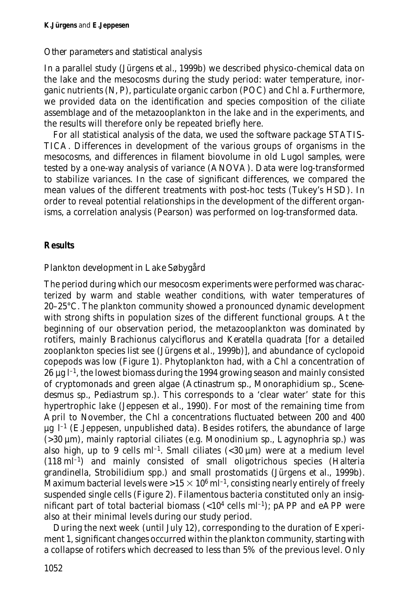# *Other parameters and statistical analysis*

In a parallel study (Jürgens *et al.*, 1999b) we described physico-chemical data on the lake and the mesocosms during the study period: water temperature, inorganic nutrients (N, P), particulate organic carbon (POC) and Chl *a*. Furthermore, we provided data on the identification and species composition of the ciliate assemblage and of the metazooplankton in the lake and in the experiments, and the results will therefore only be repeated briefly here.

For all statistical analysis of the data, we used the software package STATIS-TICA. Differences in development of the various groups of organisms in the mesocosms, and differences in filament biovolume in old Lugol samples, were tested by a one-way analysis of variance (ANOVA). Data were log-transformed to stabilize variances. In the case of significant differences, we compared the mean values of the different treatments with post-hoc tests (Tukey's HSD). In order to reveal potential relationships in the development of the different organisms, a correlation analysis (Pearson) was performed on log-transformed data.

# **Results**

# *Plankton development in Lake Søbygård*

The period during which our mesocosm experiments were performed was characterized by warm and stable weather conditions, with water temperatures of 20–25°C. The plankton community showed a pronounced dynamic development with strong shifts in population sizes of the different functional groups. At the beginning of our observation period, the metazooplankton was dominated by rotifers, mainly *Brachionus calyciflorus* and *Keratella quadrata* [for a detailed zooplankton species list see (Jürgens *et al*., 1999b)], and abundance of cyclopoid copepods was low (Figure 1). Phytoplankton had, with a Chl *a* concentration of  $26 \mu g$  l<sup>-1</sup>, the lowest biomass during the 1994 growing season and mainly consisted of cryptomonads and green algae (*Actinastrum* sp., *Monoraphidium* sp., *Scenedesmus* sp., *Pediastrum* sp.). This corresponds to a 'clear water' state for this hypertrophic lake (Jeppesen *et al*., 1990). For most of the remaining time from April to November, the Chl *a* concentrations fluctuated between 200 and 400  $\mu$ g l<sup>-1</sup> (E.Jeppesen, unpublished data). Besides rotifers, the abundance of large (>30 µm), mainly raptorial ciliates (e.g. *Monodinium* sp., *Lagynophria* sp.) was also high, up to 9 cells ml<sup>-1</sup>. Small ciliates  $\left( < 30 \mu \text{m} \right)$  were at a medium level (118 ml–1) and mainly consisted of small oligotrichous species (*Halteria grandinella*, *Strobilidium* spp.) and small prostomatids (Jürgens *et al*., 1999b). Maximum bacterial levels were >15  $\times$  10 $^{6}$  ml<sup>-1</sup>, consisting nearly entirely of freely suspended single cells (Figure 2). Filamentous bacteria constituted only an insignificant part of total bacterial biomass  $\langle$  <10<sup>4</sup> cells ml<sup>-1</sup>); pAPP and eAPP were also at their minimal levels during our study period.

During the next week (until July 12), corresponding to the duration of Experiment 1, significant changes occurred within the plankton community, starting with a collapse of rotifers which decreased to less than 5% of the previous level. Only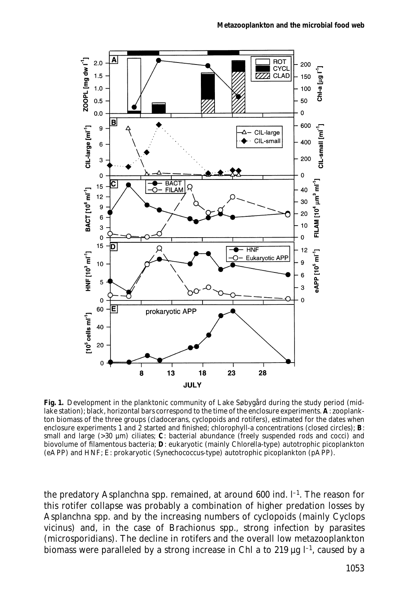

**Fig. 1.** Development in the planktonic community of Lake Søbygård during the study period (midlake station); black, horizontal bars correspond to the time of the enclosure experiments. **A**: zooplankton biomass of the three groups (cladocerans, cyclopoids and rotifers), estimated for the dates when enclosure experiments 1 and 2 started and finished; chlorophyll-*a* concentrations (closed circles); **B**: small and large (>30 µm) ciliates; **C**: bacterial abundance (freely suspended rods and cocci) and biovolume of filamentous bacteria; **D**: eukaryotic (mainly *Chlorella*-type) autotrophic picoplankton (eAPP) and HNF; E: prokaryotic (*Synechococcus*-type) autotrophic picoplankton (pAPP).

the predatory *Asplanchna* spp. remained, at around 600 ind. l–1. The reason for this rotifer collapse was probably a combination of higher predation losses by *Asplanchna* spp. and by the increasing numbers of cyclopoids (mainly *Cyclops vicinus*) and, in the case of *Brachionus* spp., strong infection by parasites (microsporidians). The decline in rotifers and the overall low metazooplankton biomass were paralleled by a strong increase in Chl  $a$  to 219  $\mu$ g l<sup>-1</sup>, caused by a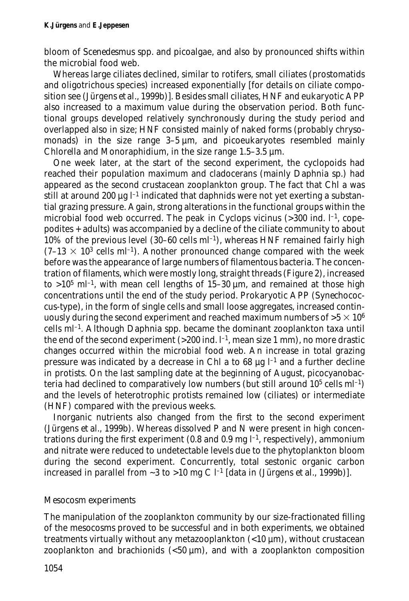bloom of *Scenedesmus* spp. and picoalgae, and also by pronounced shifts within the microbial food web.

Whereas large ciliates declined, similar to rotifers, small ciliates (prostomatids and oligotrichous species) increased exponentially [for details on ciliate composition see (Jürgens *et al*., 1999b)]. Besides small ciliates, HNF and eukaryotic APP also increased to a maximum value during the observation period. Both functional groups developed relatively synchronously during the study period and overlapped also in size; HNF consisted mainly of naked forms (probably chrysomonads) in the size range  $3-5 \mu m$ , and picoeukaryotes resembled mainly *Chlorella* and *Monoraphidium*, in the size range 1.5–3.5 µm.

One week later, at the start of the second experiment, the cyclopoids had reached their population maximum and cladocerans (mainly *Daphnia* sp.) had appeared as the second crustacean zooplankton group. The fact that Chl *a* was still at around 200  $\mu$ g l<sup>-1</sup> indicated that daphnids were not yet exerting a substantial grazing pressure. Again, strong alterations in the functional groups within the microbial food web occurred. The peak in *Cyclops vicinus* (>300 ind. l<sup>-1</sup>, copepodites + adults) was accompanied by a decline of the ciliate community to about  $10\%$  of the previous level (30–60 cells ml<sup>-1</sup>), whereas HNF remained fairly high  $(7-13 \times 10^3 \text{ cells m}^{-1})$ . Another pronounced change compared with the week before was the appearance of large numbers of filamentous bacteria. The concentration of filaments, which were mostly long, straight threads (Figure 2), increased to  $>10^5$  ml<sup>-1</sup>, with mean cell lengths of 15–30  $\mu$ m, and remained at those high concentrations until the end of the study period. Prokaryotic APP (*Synechococcus*-type), in the form of single cells and small loose aggregates, increased continuously during the second experiment and reached maximum numbers of  $>\!5\times10^6$ cells ml–1. Although *Daphnia* spp. became the dominant zooplankton taxa until the end of the second experiment  $(>200$  ind.  $l^{-1}$ , mean size 1 mm), no more drastic changes occurred within the microbial food web. An increase in total grazing pressure was indicated by a decrease in Chl  $a$  to 68  $\mu$ g l<sup>-1</sup> and a further decline in protists. On the last sampling date at the beginning of August, picocyanobacteria had declined to comparatively low numbers (but still around  $10^5$  cells ml<sup>-1</sup>) and the levels of heterotrophic protists remained low (ciliates) or intermediate (HNF) compared with the previous weeks.

Inorganic nutrients also changed from the first to the second experiment (Jürgens *et al*., 1999b). Whereas dissolved P and N were present in high concentrations during the first experiment (0.8 and 0.9 mg  $l^{-1}$ , respectively), ammonium and nitrate were reduced to undetectable levels due to the phytoplankton bloom during the second experiment. Concurrently, total sestonic organic carbon increased in parallel from ~3 to >10 mg C l–1 [data in (Jürgens *et al*., 1999b)].

### *Mesocosm experiments*

The manipulation of the zooplankton community by our size-fractionated filling of the mesocosms proved to be successful and in both experiments, we obtained treatments virtually without any metazooplankton  $\left($ <10  $\mu$ m), without crustacean zooplankton and brachionids  $(<50 \mu m$ ), and with a zooplankton composition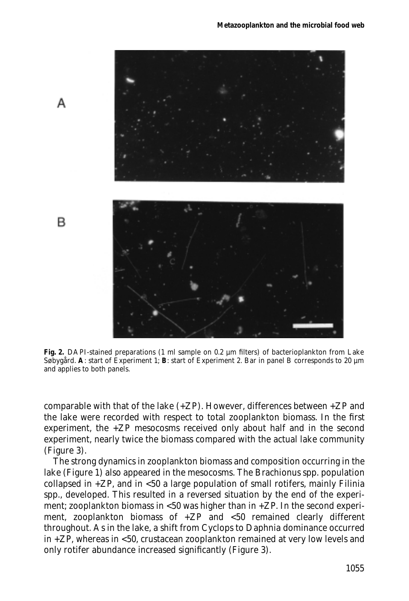

А

B

**Fig. 2.** DAPI-stained preparations (1 ml sample on 0.2 µm filters) of bacterioplankton from Lake Søbygård. **A**: start of Experiment 1; **B**: start of Experiment 2. Bar in panel B corresponds to 20 µm and applies to both panels.

comparable with that of the lake (+ZP). However, differences between +ZP and the lake were recorded with respect to total zooplankton biomass. In the first experiment, the +ZP mesocosms received only about half and in the second experiment, nearly twice the biomass compared with the actual lake community (Figure 3).

The strong dynamics in zooplankton biomass and composition occurring in the lake (Figure 1) also appeared in the mesocosms. The *Brachionus* spp. population collapsed in +ZP, and in <50 a large population of small rotifers, mainly *Filinia* spp., developed. This resulted in a reversed situation by the end of the experiment; zooplankton biomass in <50 was higher than in +ZP. In the second experiment, zooplankton biomass of +ZP and <50 remained clearly different throughout. As in the lake, a shift from *Cyclops* to *Daphnia* dominance occurred in +ZP, whereas in <50, crustacean zooplankton remained at very low levels and only rotifer abundance increased significantly (Figure 3).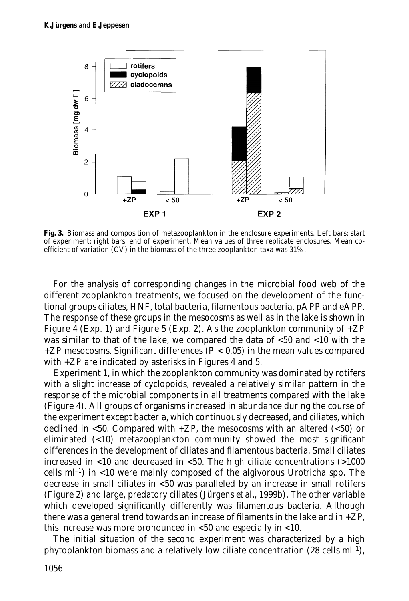

**Fig. 3.** Biomass and composition of metazooplankton in the enclosure experiments. Left bars: start of experiment; right bars: end of experiment. Mean values of three replicate enclosures. Mean coefficient of variation (CV) in the biomass of the three zooplankton taxa was 31%.

For the analysis of corresponding changes in the microbial food web of the different zooplankton treatments, we focused on the development of the functional groups ciliates, HNF, total bacteria, filamentous bacteria, pAPP and eAPP. The response of these groups in the mesocosms as well as in the lake is shown in Figure 4 (Exp. 1) and Figure 5 (Exp. 2). As the zooplankton community of +ZP was similar to that of the lake, we compared the data of <50 and <10 with the +ZP mesocosms. Significant differences (*P* < 0.05) in the mean values compared with +ZP are indicated by asterisks in Figures 4 and 5.

Experiment 1, in which the zooplankton community was dominated by rotifers with a slight increase of cyclopoids, revealed a relatively similar pattern in the response of the microbial components in all treatments compared with the lake (Figure 4). All groups of organisms increased in abundance during the course of the experiment except bacteria, which continuously decreased, and ciliates, which declined in <50. Compared with +ZP, the mesocosms with an altered (<50) or eliminated (<10) metazooplankton community showed the most significant differences in the development of ciliates and filamentous bacteria. Small ciliates increased in <10 and decreased in <50. The high ciliate concentrations (>1000 cells ml–1) in <10 were mainly composed of the algivorous *Urotricha* spp. The decrease in small ciliates in <50 was paralleled by an increase in small rotifers (Figure 2) and large, predatory ciliates (Jürgens *et al*., 1999b). The other variable which developed significantly differently was filamentous bacteria. Although there was a general trend towards an increase of filaments in the lake and in +ZP, this increase was more pronounced in <50 and especially in <10.

The initial situation of the second experiment was characterized by a high phytoplankton biomass and a relatively low ciliate concentration (28 cells ml–1),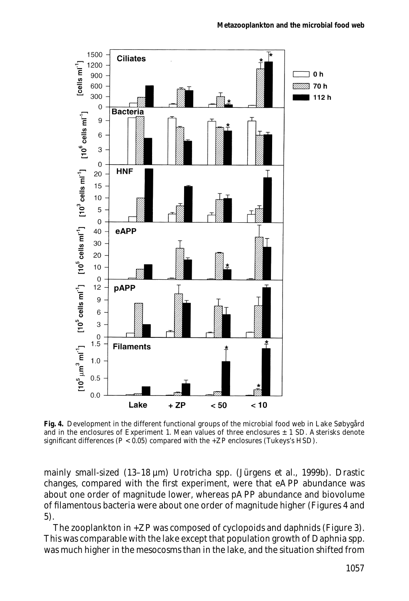

**Fig. 4.** Development in the different functional groups of the microbial food web in Lake Søbygård and in the enclosures of Experiment 1. Mean values of three enclosures  $\pm$  1 SD. Asterisks denote significant differences ( $P < 0.05$ ) compared with the +ZP enclosures (Tukeys's HSD).

mainly small-sized (13–18 µm) *Urotricha* spp. (Jürgens *et al*., 1999b). Drastic changes, compared with the first experiment, were that eAPP abundance was about one order of magnitude lower, whereas pAPP abundance and biovolume of filamentous bacteria were about one order of magnitude higher (Figures 4 and 5).

The zooplankton in +ZP was composed of cyclopoids and daphnids (Figure 3). This was comparable with the lake except that population growth of *Daphnia* spp. was much higher in the mesocosms than in the lake, and the situation shifted from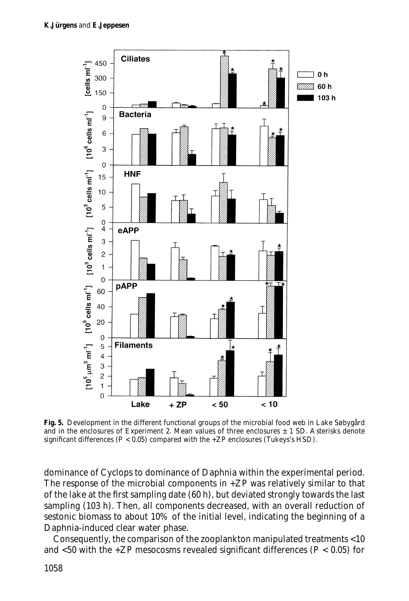

**Fig. 5.** Development in the different functional groups of the microbial food web in Lake Søbygård and in the enclosures of Experiment 2. Mean values of three enclosures  $\pm$  1 SD. Asterisks denote significant differences ( $P < 0.05$ ) compared with the  $+ZP$  enclosures (Tukeys's HSD).

dominance of *Cyclops* to dominance of *Daphnia* within the experimental period. The response of the microbial components in +ZP was relatively similar to that of the lake at the first sampling date (60 h), but deviated strongly towards the last sampling (103 h). Then, all components decreased, with an overall reduction of sestonic biomass to about 10% of the initial level, indicating the beginning of a *Daphnia*-induced clear water phase.

Consequently, the comparison of the zooplankton manipulated treatments <10 and  $<$ 50 with the  $+$ ZP mesocosms revealed significant differences ( $P$   $<$  0.05) for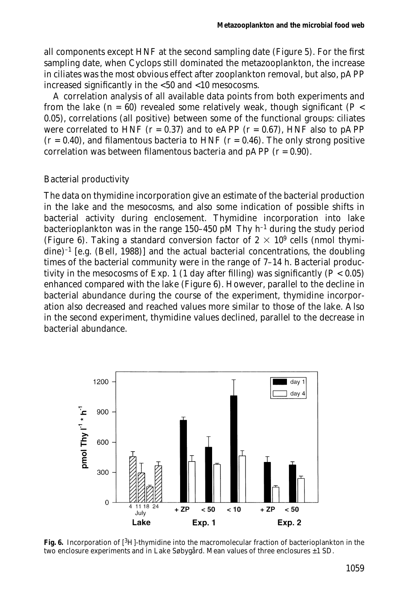all components except HNF at the second sampling date (Figure 5). For the first sampling date, when *Cyclops* still dominated the metazooplankton, the increase in ciliates was the most obvious effect after zooplankton removal, but also, pAPP increased significantly in the <50 and <10 mesocosms.

A correlation analysis of all available data points from both experiments and from the lake  $(n = 60)$  revealed some relatively weak, though significant  $(P <$ 0.05), correlations (all positive) between some of the functional groups: ciliates were correlated to HNF  $(r = 0.37)$  and to eAPP  $(r = 0.67)$ , HNF also to pAPP  $(r = 0.40)$ , and filamentous bacteria to HNF  $(r = 0.46)$ . The only strong positive correlation was between filamentous bacteria and pAPP (*r* = 0.90).

#### *Bacterial productivity*

The data on thymidine incorporation give an estimate of the bacterial production in the lake and the mesocosms, and also some indication of possible shifts in bacterial activity during enclosement. Thymidine incorporation into lake bacterioplankton was in the range 150–450 pM Thy  $h^{-1}$  during the study period (Figure 6). Taking a standard conversion factor of  $2 \times 10^9$  cells (nmol thymi- $\text{dine}$ <sup> $-1$ </sup> [e.g. (Bell, 1988)] and the actual bacterial concentrations, the doubling times of the bacterial community were in the range of 7–14 h. Bacterial productivity in the mesocosms of Exp. 1 (1 day after filling) was significantly  $(\overrightarrow{P} < 0.05)$ enhanced compared with the lake (Figure 6). However, parallel to the decline in bacterial abundance during the course of the experiment, thymidine incorporation also decreased and reached values more similar to those of the lake. Also in the second experiment, thymidine values declined, parallel to the decrease in bacterial abundance.



**Fig. 6.** Incorporation of <sup>[3</sup>H]-thymidine into the macromolecular fraction of bacterioplankton in the two enclosure experiments and in Lake Søbygård. Mean values of three enclosures ±1 SD.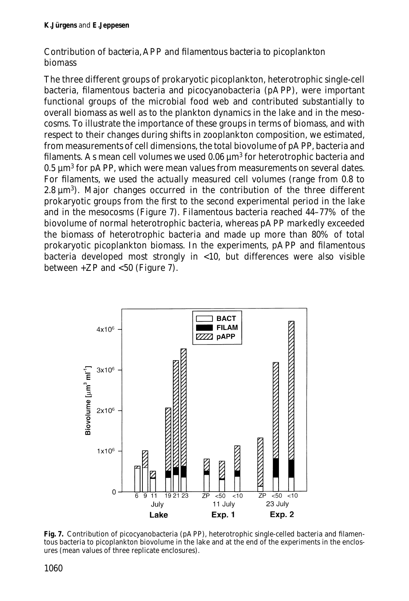# *Contribution of bacteria, APP and filamentous bacteria to picoplankton biomass*

The three different groups of prokaryotic picoplankton, heterotrophic single-cell bacteria, filamentous bacteria and picocyanobacteria (pAPP), were important functional groups of the microbial food web and contributed substantially to overall biomass as well as to the plankton dynamics in the lake and in the mesocosms. To illustrate the importance of these groups in terms of biomass, and with respect to their changes during shifts in zooplankton composition, we estimated, from measurements of cell dimensions, the total biovolume of pAPP, bacteria and filaments. As mean cell volumes we used 0.06 µm3 for heterotrophic bacteria and  $0.5 \mu m^3$  for pAPP, which were mean values from measurements on several dates. For filaments, we used the actually measured cell volumes (range from 0.8 to  $2.8 \mu m^3$ ). Major changes occurred in the contribution of the three different prokaryotic groups from the first to the second experimental period in the lake and in the mesocosms (Figure 7). Filamentous bacteria reached 44–77% of the biovolume of normal heterotrophic bacteria, whereas pAPP markedly exceeded the biomass of heterotrophic bacteria and made up more than 80% of total prokaryotic picoplankton biomass. In the experiments, pAPP and filamentous bacteria developed most strongly in <10, but differences were also visible between +ZP and <50 (Figure 7).



**Fig. 7.** Contribution of picocyanobacteria (pAPP), heterotrophic single-celled bacteria and filamentous bacteria to picoplankton biovolume in the lake and at the end of the experiments in the enclosures (mean values of three replicate enclosures).

1060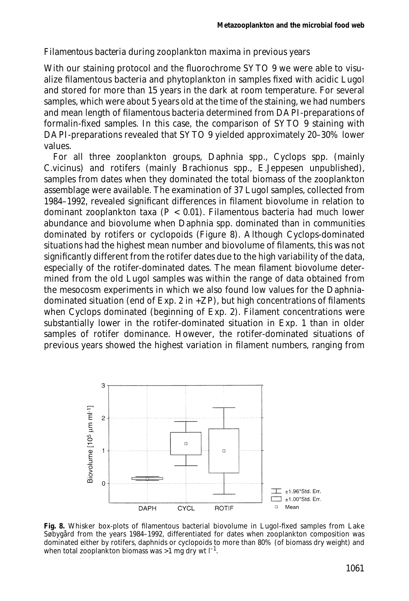#### *Filamentous bacteria during zooplankton maxima in previous years*

With our staining protocol and the fluorochrome SYTO 9 we were able to visualize filamentous bacteria and phytoplankton in samples fixed with acidic Lugol and stored for more than 15 years in the dark at room temperature. For several samples, which were about 5 years old at the time of the staining, we had numbers and mean length of filamentous bacteria determined from DAPI-preparations of formalin-fixed samples. In this case, the comparison of SYTO 9 staining with DAPI-preparations revealed that SYTO 9 yielded approximately 20–30% lower values.

For all three zooplankton groups, *Daphnia* spp., *Cyclops* spp. (mainly *C.vicinus*) and rotifers (mainly *Brachionus* spp., E.Jeppesen unpublished), samples from dates when they dominated the total biomass of the zooplankton assemblage were available. The examination of 37 Lugol samples, collected from 1984–1992, revealed significant differences in filament biovolume in relation to dominant zooplankton taxa (*P* < 0.01). Filamentous bacteria had much lower abundance and biovolume when *Daphnia* spp. dominated than in communities dominated by rotifers or cyclopoids (Figure 8). Although *Cyclops*-dominated situations had the highest mean number and biovolume of filaments, this was not significantly different from the rotifer dates due to the high variability of the data, especially of the rotifer-dominated dates. The mean filament biovolume determined from the old Lugol samples was within the range of data obtained from the mesocosm experiments in which we also found low values for the *Daphnia*dominated situation (end of Exp. 2 in +ZP), but high concentrations of filaments when *Cyclops* dominated (beginning of Exp. 2). Filament concentrations were substantially lower in the rotifer-dominated situation in Exp. 1 than in older samples of rotifer dominance. However, the rotifer-dominated situations of previous years showed the highest variation in filament numbers, ranging from



**Fig. 8.** Whisker box-plots of filamentous bacterial biovolume in Lugol-fixed samples from Lake Søbygård from the years 1984–1992, differentiated for dates when zooplankton composition was dominated either by rotifers, daphnids or cyclopoids to more than 80% (of biomass dry weight) and when total zooplankton biomass was  $>1$  mg dry wt  $l^{-1}$ .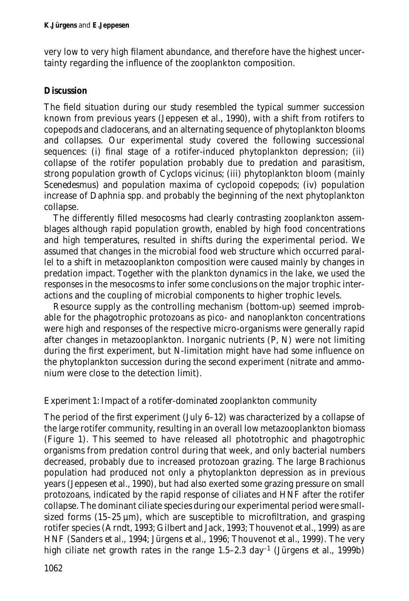very low to very high filament abundance, and therefore have the highest uncertainty regarding the influence of the zooplankton composition.

### **Discussion**

The field situation during our study resembled the typical summer succession known from previous years (Jeppesen *et al*., 1990), with a shift from rotifers to copepods and cladocerans, and an alternating sequence of phytoplankton blooms and collapses. Our experimental study covered the following successional sequences: (i) final stage of a rotifer-induced phytoplankton depression; (ii) collapse of the rotifer population probably due to predation and parasitism, strong population growth of *Cyclops vicinus*; (iii) phytoplankton bloom (mainly *Scenedesmus*) and population maxima of cyclopoid copepods; (iv) population increase of *Daphnia* spp. and probably the beginning of the next phytoplankton collapse.

The differently filled mesocosms had clearly contrasting zooplankton assemblages although rapid population growth, enabled by high food concentrations and high temperatures, resulted in shifts during the experimental period. We assumed that changes in the microbial food web structure which occurred parallel to a shift in metazooplankton composition were caused mainly by changes in predation impact. Together with the plankton dynamics in the lake, we used the responses in the mesocosms to infer some conclusions on the major trophic interactions and the coupling of microbial components to higher trophic levels.

Resource supply as the controlling mechanism (bottom-up) seemed improbable for the phagotrophic protozoans as pico- and nanoplankton concentrations were high and responses of the respective micro-organisms were generally rapid after changes in metazooplankton. Inorganic nutrients (P, N) were not limiting during the first experiment, but N-limitation might have had some influence on the phytoplankton succession during the second experiment (nitrate and ammonium were close to the detection limit).

# *Experiment 1: Impact of a rotifer-dominated zooplankton community*

The period of the first experiment (July 6–12) was characterized by a collapse of the large rotifer community, resulting in an overall low metazooplankton biomass (Figure 1). This seemed to have released all phototrophic and phagotrophic organisms from predation control during that week, and only bacterial numbers decreased, probably due to increased protozoan grazing. The large *Brachionus* population had produced not only a phytoplankton depression as in previous years (Jeppesen *et al*., 1990), but had also exerted some grazing pressure on small protozoans, indicated by the rapid response of ciliates and HNF after the rotifer collapse. The dominant ciliate species during our experimental period were smallsized forms (15–25  $\mu$ m), which are susceptible to microfiltration, and grasping rotifer species (Arndt, 1993; Gilbert and Jack, 1993; Thouvenot *et al*., 1999) as are HNF (Sanders *et al*., 1994; Jürgens *et al.*, 1996; Thouvenot *et al.*, 1999). The very high ciliate net growth rates in the range 1.5–2.3 day–1 (Jürgens *et al*., 1999b)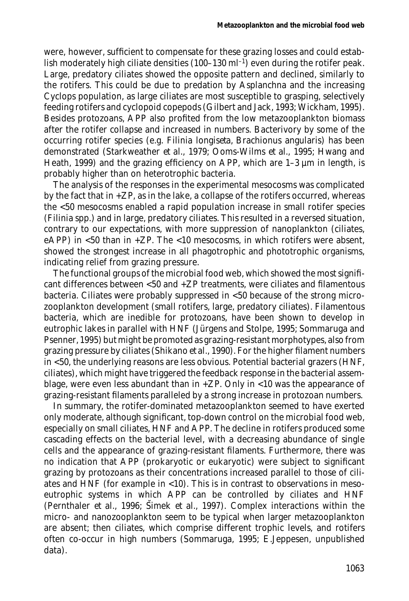were, however, sufficient to compensate for these grazing losses and could establish moderately high ciliate densities  $(100-130 \text{ ml}^{-1})$  even during the rotifer peak. Large, predatory ciliates showed the opposite pattern and declined, similarly to the rotifers. This could be due to predation by *Asplanchna* and the increasing *Cyclops* population, as large ciliates are most susceptible to grasping, selectively feeding rotifers and cyclopoid copepods (Gilbert and Jack, 1993; Wickham, 1995). Besides protozoans, APP also profited from the low metazooplankton biomass after the rotifer collapse and increased in numbers. Bacterivory by some of the occurring rotifer species (e.g. *Filinia longiseta, Brachionus angularis*) has been demonstrated (Starkweather *et al*., 1979; Ooms-Wilms *et al.*, 1995; Hwang and Heath, 1999) and the grazing efficiency on APP, which are 1-3  $\mu$ m in length, is probably higher than on heterotrophic bacteria.

The analysis of the responses in the experimental mesocosms was complicated by the fact that in +ZP, as in the lake, a collapse of the rotifers occurred, whereas the <50 mesocosms enabled a rapid population increase in small rotifer species (*Filinia* spp.) and in large, predatory ciliates. This resulted in a reversed situation, contrary to our expectations, with more suppression of nanoplankton (ciliates, eAPP) in <50 than in +ZP. The <10 mesocosms, in which rotifers were absent, showed the strongest increase in all phagotrophic and phototrophic organisms, indicating relief from grazing pressure.

The functional groups of the microbial food web, which showed the most significant differences between <50 and +ZP treatments, were ciliates and filamentous bacteria. Ciliates were probably suppressed in <50 because of the strong microzooplankton development (small rotifers, large, predatory ciliates). Filamentous bacteria, which are inedible for protozoans, have been shown to develop in eutrophic lakes in parallel with HNF (Jürgens and Stolpe, 1995; Sommaruga and Psenner, 1995) but might be promoted as grazing-resistant morphotypes, also from grazing pressure by ciliates (Shikano *et al*., 1990). For the higher filament numbers in <50, the underlying reasons are less obvious. Potential bacterial grazers (HNF, ciliates), which might have triggered the feedback response in the bacterial assemblage, were even less abundant than in +ZP. Only in <10 was the appearance of grazing-resistant filaments paralleled by a strong increase in protozoan numbers.

In summary, the rotifer-dominated metazooplankton seemed to have exerted only moderate, although significant, top-down control on the microbial food web, especially on small ciliates, HNF and APP. The decline in rotifers produced some cascading effects on the bacterial level, with a decreasing abundance of single cells and the appearance of grazing-resistant filaments. Furthermore, there was no indication that APP (prokaryotic or eukaryotic) were subject to significant grazing by protozoans as their concentrations increased parallel to those of ciliates and HNF (for example in <10). This is in contrast to observations in mesoeutrophic systems in which APP can be controlled by ciliates and HNF (Pernthaler *et al.*, 1996; Šimek *et al.*, 1997). Complex interactions within the micro- and nanozooplankton seem to be typical when larger metazooplankton are absent; then ciliates, which comprise different trophic levels, and rotifers often co-occur in high numbers (Sommaruga, 1995; E.Jeppesen, unpublished data).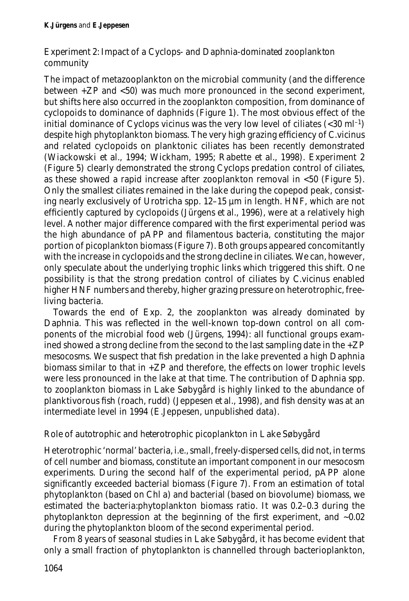# *Experiment 2: Impact of a* Cyclops- *and* Daphnia*-dominated zooplankton community*

The impact of metazooplankton on the microbial community (and the difference between +ZP and <50) was much more pronounced in the second experiment, but shifts here also occurred in the zooplankton composition, from dominance of cyclopoids to dominance of daphnids (Figure 1). The most obvious effect of the initial dominance of *Cyclops vicinus* was the very low level of ciliates  $\left( \langle 30 \text{ ml}^{-1} \rangle \right)$ despite high phytoplankton biomass. The very high grazing efficiency of *C.vicinus* and related cyclopoids on planktonic ciliates has been recently demonstrated (Wiackowski *et al.*, 1994; Wickham, 1995; Rabette *et al*., 1998). Experiment 2 (Figure 5) clearly demonstrated the strong *Cyclops* predation control of ciliates, as these showed a rapid increase after zooplankton removal in <50 (Figure 5). Only the smallest ciliates remained in the lake during the copepod peak, consisting nearly exclusively of *Urotricha* spp. 12–15 µm in length. HNF, which are not efficiently captured by cyclopoids (Jürgens *et al*., 1996), were at a relatively high level. Another major difference compared with the first experimental period was the high abundance of pAPP and filamentous bacteria, constituting the major portion of picoplankton biomass (Figure 7). Both groups appeared concomitantly with the increase in cyclopoids and the strong decline in ciliates. We can, however, only speculate about the underlying trophic links which triggered this shift. One possibility is that the strong predation control of ciliates by *C.vicinus* enabled higher HNF numbers and thereby, higher grazing pressure on heterotrophic, freeliving bacteria.

Towards the end of Exp. 2, the zooplankton was already dominated by *Daphnia*. This was reflected in the well-known top-down control on all components of the microbial food web (Jürgens, 1994): all functional groups examined showed a strong decline from the second to the last sampling date in the +ZP mesocosms. We suspect that fish predation in the lake prevented a high *Daphnia* biomass similar to that in +ZP and therefore, the effects on lower trophic levels were less pronounced in the lake at that time. The contribution of *Daphnia* spp. to zooplankton biomass in Lake Søbygård is highly linked to the abundance of planktivorous fish (roach, rudd) (Jeppesen *et al*., 1998), and fish density was at an intermediate level in 1994 (E.Jeppesen, unpublished data).

# *Role of autotrophic and heterotrophic picoplankton in Lake Søbygård*

Heterotrophic 'normal' bacteria, i.e., small, freely-dispersed cells, did not, in terms of cell number and biomass, constitute an important component in our mesocosm experiments. During the second half of the experimental period, pAPP alone significantly exceeded bacterial biomass (Figure 7). From an estimation of total phytoplankton (based on Chl *a*) and bacterial (based on biovolume) biomass, we estimated the bacteria:phytoplankton biomass ratio. It was 0.2–0.3 during the phytoplankton depression at the beginning of the first experiment, and ~0.02 during the phytoplankton bloom of the second experimental period.

From 8 years of seasonal studies in Lake Søbygård, it has become evident that only a small fraction of phytoplankton is channelled through bacterioplankton,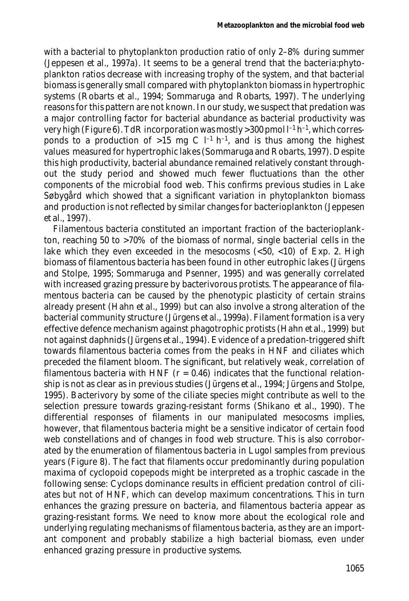with a bacterial to phytoplankton production ratio of only 2–8% during summer (Jeppesen *et al*., 1997a). It seems to be a general trend that the bacteria:phytoplankton ratios decrease with increasing trophy of the system, and that bacterial biomass is generally small compared with phytoplankton biomass in hypertrophic systems (Robarts *et al*., 1994; Sommaruga and Robarts, 1997). The underlying reasons for this pattern are not known. In our study, we suspect that predation was a major controlling factor for bacterial abundance as bacterial productivity was very high (Figure 6). TdR incorporation was mostly >300 pmol  $l^{-1}$  h<sup>-1</sup>, which corresponds to a production of  $>15$  mg C l<sup>-1</sup> h<sup>-1</sup>, and is thus among the highest values measured for hypertrophic lakes (Sommaruga and Robarts, 1997). Despite this high productivity, bacterial abundance remained relatively constant throughout the study period and showed much fewer fluctuations than the other components of the microbial food web. This confirms previous studies in Lake Søbygård which showed that a significant variation in phytoplankton biomass and production is not reflected by similar changes for bacterioplankton (Jeppesen *et al*., 1997).

Filamentous bacteria constituted an important fraction of the bacterioplankton, reaching 50 to >70% of the biomass of normal, single bacterial cells in the lake which they even exceeded in the mesocosms  $(<50, <10$ ) of Exp. 2. High biomass of filamentous bacteria has been found in other eutrophic lakes (Jürgens and Stolpe, 1995; Sommaruga and Psenner, 1995) and was generally correlated with increased grazing pressure by bacterivorous protists. The appearance of filamentous bacteria can be caused by the phenotypic plasticity of certain strains already present (Hahn *et al*., 1999) but can also involve a strong alteration of the bacterial community structure (Jürgens *et al*., 1999a). Filament formation is a very effective defence mechanism against phagotrophic protists (Hahn *et al*., 1999) but not against daphnids (Jürgens *et al*., 1994). Evidence of a predation-triggered shift towards filamentous bacteria comes from the peaks in HNF and ciliates which preceded the filament bloom. The significant, but relatively weak, correlation of filamentous bacteria with HNF  $(r = 0.46)$  indicates that the functional relationship is not as clear as in previous studies (Jürgens *et al.*, 1994; Jürgens and Stolpe, 1995). Bacterivory by some of the ciliate species might contribute as well to the selection pressure towards grazing-resistant forms (Shikano *et al.*, 1990). The differential responses of filaments in our manipulated mesocosms implies, however, that filamentous bacteria might be a sensitive indicator of certain food web constellations and of changes in food web structure. This is also corroborated by the enumeration of filamentous bacteria in Lugol samples from previous years (Figure 8). The fact that filaments occur predominantly during population maxima of cyclopoid copepods might be interpreted as a trophic cascade in the following sense: *Cyclops* dominance results in efficient predation control of ciliates but not of HNF, which can develop maximum concentrations. This in turn enhances the grazing pressure on bacteria, and filamentous bacteria appear as grazing-resistant forms. We need to know more about the ecological role and underlying regulating mechanisms of filamentous bacteria, as they are an important component and probably stabilize a high bacterial biomass, even under enhanced grazing pressure in productive systems.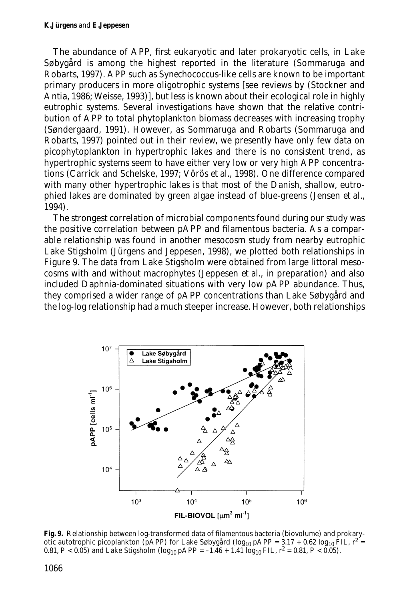The abundance of APP, first eukaryotic and later prokaryotic cells, in Lake Søbygård is among the highest reported in the literature (Sommaruga and Robarts, 1997). APP such as *Synechococcus*-like cells are known to be important primary producers in more oligotrophic systems [see reviews by (Stockner and Antia, 1986; Weisse, 1993)], but less is known about their ecological role in highly eutrophic systems. Several investigations have shown that the relative contribution of APP to total phytoplankton biomass decreases with increasing trophy (Søndergaard, 1991). However, as Sommaruga and Robarts (Sommaruga and Robarts, 1997) pointed out in their review, we presently have only few data on picophytoplankton in hypertrophic lakes and there is no consistent trend, as hypertrophic systems seem to have either very low or very high APP concentrations (Carrick and Schelske, 1997; Vörös *et al*., 1998). One difference compared with many other hypertrophic lakes is that most of the Danish, shallow, eutrophied lakes are dominated by green algae instead of blue-greens (Jensen *et al*., 1994).

The strongest correlation of microbial components found during our study was the positive correlation between pAPP and filamentous bacteria. As a comparable relationship was found in another mesocosm study from nearby eutrophic Lake Stigsholm (Jürgens and Jeppesen, 1998), we plotted both relationships in Figure 9. The data from Lake Stigsholm were obtained from large littoral mesocosms with and without macrophytes (Jeppesen *et al*., in preparation) and also included *Daphnia-*dominated situations with very low pAPP abundance. Thus, they comprised a wider range of pAPP concentrations than Lake Søbygård and the log-log relationship had a much steeper increase. However, both relationships



**Fig. 9.** Relationship between log-transformed data of filamentous bacteria (biovolume) and prokaryotic autotrophic picoplankton (pAPP) for Lake Søbygård (log<sub>10</sub> pAPP = 3.17 + 0.62 log<sub>10</sub> FIL,  $r^2$  = 0.81, *P* < 0.05) and Lake Stigsholm (log<sub>10</sub> pAPP = -1.46 + 1.41  $\log_{10}$  FIL,  $r^2 = 0.81$ , *P* < 0.05).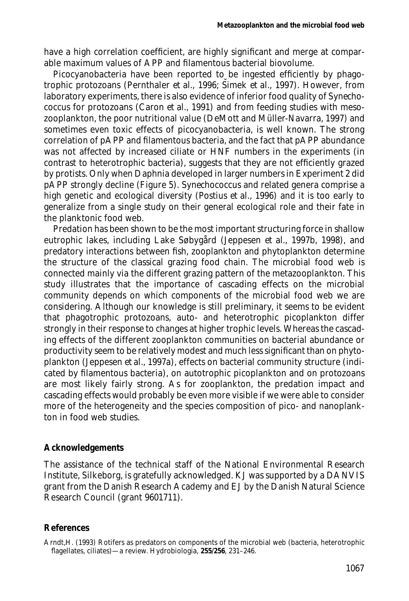have a high correlation coefficient, are highly significant and merge at comparable maximum values of APP and filamentous bacterial biovolume.

Picocyanobacteria have been reported to be ingested efficiently by phagotrophic protozoans (Pernthaler *et al.*, 1996; Simek *et al.*, 1997). However, from laboratory experiments, there is also evidence of inferior food quality of *Synechococcus* for protozoans (Caron *et al*., 1991) and from feeding studies with mesozooplankton, the poor nutritional value (DeMott and Müller-Navarra, 1997) and sometimes even toxic effects of picocyanobacteria, is well known. The strong correlation of pAPP and filamentous bacteria, and the fact that pAPP abundance was not affected by increased ciliate or HNF numbers in the experiments (in contrast to heterotrophic bacteria), suggests that they are not efficiently grazed by protists. Only when *Daphnia* developed in larger numbers in Experiment 2 did pAPP strongly decline (Figure 5). *Synechococcus* and related genera comprise a high genetic and ecological diversity (Postius *et al*., 1996) and it is too early to generalize from a single study on their general ecological role and their fate in the planktonic food web.

Predation has been shown to be the most important structuring force in shallow eutrophic lakes, including Lake Søbygård (Jeppesen *et al.*, 1997b, 1998), and predatory interactions between fish, zooplankton and phytoplankton determine the structure of the classical grazing food chain. The microbial food web is connected mainly via the different grazing pattern of the metazooplankton. This study illustrates that the importance of cascading effects on the microbial community depends on which components of the microbial food web we are considering. Although our knowledge is still preliminary, it seems to be evident that phagotrophic protozoans, auto- and heterotrophic picoplankton differ strongly in their response to changes at higher trophic levels. Whereas the cascading effects of the different zooplankton communities on bacterial abundance or productivity seem to be relatively modest and much less significant than on phytoplankton (Jeppesen *et al*., 1997a), effects on bacterial community structure (indicated by filamentous bacteria), on autotrophic picoplankton and on protozoans are most likely fairly strong. As for zooplankton, the predation impact and cascading effects would probably be even more visible if we were able to consider more of the heterogeneity and the species composition of pico- and nanoplankton in food web studies.

### **Acknowledgements**

The assistance of the technical staff of the National Environmental Research Institute, Silkeborg, is gratefully acknowledged. KJ was supported by a DANVIS grant from the Danish Research Academy and EJ by the Danish Natural Science Research Council (grant 9601711).

### **References**

Arndt,H. (1993) Rotifers as predators on components of the microbial web (bacteria, heterotrophic flagellates, ciliates)—a review. *Hydrobiologia*, **255/256**, 231–246.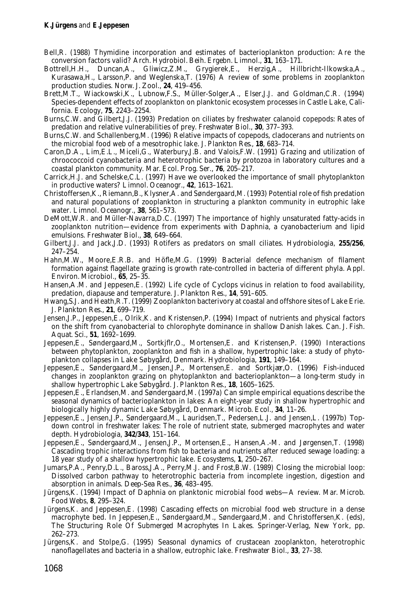- Bell,R. (1988) Thymidine incorporation and estimates of bacterioplankton production: Are the conversion factors valid? *Arch. Hydrobiol. Beih. Ergebn. Limnol*., **31**, 163–171.
- Bottrell,H.H., Duncan,A., Gliwicz,Z.M., Grygierek,E., Herzig,A., Hillbricht-Ilkowska,A., Kurasawa,H., Larsson,P. and Weglenska,T. (1976) A review of some problems in zooplankton production studies. *Norw. J. Zool*., **24**, 419–456.
- Brett,M.T., Wiackowski,K., Lubnow,F.S., Müller-Solger,A., Elser,J.J. and Goldman,C.R. (1994) Species-dependent effects of zooplankton on planktonic ecosystem processes in Castle Lake, California. *Ecology*, **75**, 2243–2254.
- Burns,C.W. and Gilbert,J.J. (1993) Predation on ciliates by freshwater calanoid copepods: Rates of predation and relative vulnerabilities of prey. *Freshwater Biol*., **30**, 377–393.
- Burns,C.W. and Schallenberg,M. (1996) Relative impacts of copepods, cladocerans and nutrients on the microbial food web of a mesotrophic lake. *J. Plankton Res.*, **18**, 683–714.
- Caron,D.A., Lim,E.L., Miceli,G., Waterbury,J.B. and Valois,F.W. (1991) Grazing and utilization of chroococcoid cyanobacteria and heterotrophic bacteria by protozoa in laboratory cultures and a coastal plankton community. *Mar. Ecol. Prog. Ser*., **76**, 205–217.
- Carrick,H.J. and Schelske,C.L. (1997) Have we overlooked the importance of small phytoplankton in productive waters? *Limnol. Oceanogr*., **42**, 1613–1621.
- Christoffersen,K., Riemann,B., Klysner,A. and Søndergaard,M. (1993) Potential role of fish predation and natural populations of zooplankton in structuring a plankton community in eutrophic lake water. *Limnol. Oceanogr*., **38**, 561–573.
- DeMott,W.R. and Müller-Navarra,D.C. (1997) The importance of highly unsaturated fatty-acids in zooplankton nutrition—evidence from experiments with *Daphnia*, a cyanobacterium and lipid emulsions. *Freshwater Biol.*, **38**, 649–664.
- Gilbert,J.J. and Jack,J.D. (1993) Rotifers as predators on small ciliates. *Hydrobiologia*, **255/256**, 247–254.
- Hahn,M.W., Moore,E.R.B. and Höfle,M.G. (1999) Bacterial defence mechanism of filament formation against flagellate grazing is growth rate-controlled in bacteria of different phyla. *Appl. Environ. Microbiol*., **65**, 25–35.
- Hansen,A.M. and Jeppesen,E. (1992) Life cycle of *Cyclops vicinus* in relation to food availability, predation, diapause and temperature. *J. Plankton Res*., **14**, 591–605.
- Hwang,S.J. and Heath,R.T. (1999) Zooplankton bacterivory at coastal and offshore sites of Lake Erie. *J. Plankton Res*., **21**, 699–719.
- Jensen,J.P., Jeppesen,E., Olrik,K. and Kristensen,P. (1994) Impact of nutrients and physical factors on the shift from cyanobacterial to chlorophyte dominance in shallow Danish lakes. *Can. J. Fish. Aquat. Sci.*, **51**, 1692–1699.
- Jeppesen,E., Søndergaard,M., Sortkjflr,O., Mortensen,E. and Kristensen,P. (1990) Interactions between phytoplankton, zooplankton and fish in a shallow, hypertrophic lake: a study of phytoplankton collapses in Lake Søbygård, Denmark. *Hydrobiologia*, **191**, 149–164.
- Jeppesen,E., Søndergaard,M., Jensen,J.P., Mortensen,E. and Sortkjær,O. (1996) Fish-induced changes in zooplankton grazing on phytoplankton and bacterioplankton—a long-term study in shallow hypertrophic Lake Søbygård. *J. Plankton Res*., **18**, 1605–1625.
- Jeppesen,E., Erlandsen,M. and Søndergaard,M. (1997a) Can simple empirical equations describe the seasonal dynamics of bacterioplankton in lakes: An eight-year study in shallow hypertrophic and biologically highly dynamic Lake Søbygård, Denmark. *Microb. Ecol*., **34**, 11–26.
- Jeppesen,E., Jensen,J.P., Søndergaard,M., Lauridsen,T., Pedersen,L.J. and Jensen,L. (1997b) Topdown control in freshwater lakes: The role of nutrient state, submerged macrophytes and water depth. *Hydrobiologia*, **342/343**, 151–164.
- Jeppesen,E., Søndergaard,M., Jensen,J.P., Mortensen,E., Hansen,A.-M. and Jørgensen,T. (1998) Cascading trophic interactions from fish to bacteria and nutrients after reduced sewage loading: a 18 year study of a shallow hypertrophic lake. *Ecosystems*, **1**, 250–267.
- Jumars,P.A., Penry,D.L., Baross,J.A., Perry,M.J. and Frost,B.W. (1989) Closing the microbial loop: Dissolved carbon pathway to heterotrophic bacteria from incomplete ingestion, digestion and absorption in animals. *Deep-Sea Res*., **36**, 483–495.
- Jürgens,K. (1994) Impact of *Daphnia* on planktonic microbial food webs—A review. *Mar. Microb. Food Webs*, **8**, 295–324.
- Jürgens,K. and Jeppesen,E. (1998) Cascading effects on microbial food web structure in a dense macrophyte bed. In Jeppesen,E., Søndergaard,M., Søndergaard,M. and Christoffersen,K. (eds), *The Structuring Role Of Submerged Macrophytes In Lakes*. Springer-Verlag, New York, pp. 262–273.
- Jürgens,K. and Stolpe,G. (1995) Seasonal dynamics of crustacean zooplankton, heterotrophic nanoflagellates and bacteria in a shallow, eutrophic lake. *Freshwater Biol*., **33**, 27–38.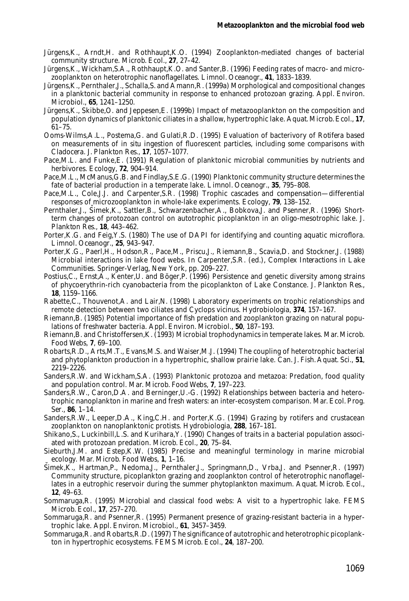- Jürgens,K., Arndt,H. and Rothhaupt,K.O. (1994) Zooplankton-mediated changes of bacterial community structure. *Microb. Ecol*., **27**, 27–42.
- Jürgens,K., Wickham,S.A., Rothhaupt,K.O. and Santer,B. (1996) Feeding rates of macro- and microzooplankton on heterotrophic nanoflagellates. *Limnol. Oceanogr.*, **41**, 1833–1839.
- Jürgens,K., Pernthaler,J., Schalla,S. and Amann,R. (1999a) Morphological and compositional changes in a planktonic bacterial community in response to enhanced protozoan grazing. *Appl. Environ. Microbiol*., **65**, 1241–1250.
- Jürgens,K., Skibbe,O. and Jeppesen,E. (1999b) Impact of metazooplankton on the composition and population dynamics of planktonic ciliates in a shallow, hypertrophic lake. *Aquat. Microb. Ecol*., **17**, 61–75.
- Ooms-Wilms,A.L., Postema,G. and Gulati,R.D. (1995) Evaluation of bacterivory of *Rotifera* based on measurements of *in situ* ingestion of fluorescent particles, including some comparisons with *Cladocera*. *J. Plankton Res*., **17**, 1057–1077.
- Pace,M.L. and Funke,E. (1991) Regulation of planktonic microbial communities by nutrients and herbivores. *Ecology*, **72**, 904–914.
- Pace,M.L., McManus,G.B. and Findlay,S.E.G. (1990) Planktonic community structure determines the fate of bacterial production in a temperate lake. *Limnol. Oceanogr*., **35**, 795–808.
- Pace,M.L., Cole,J.J. and Carpenter,S.R. (1998) Trophic cascades and compensation—differential responses of microzooplankton in whole-lake experiments. *Ecology*, **79**, 138–152.
- Pernthaler, J., Simek, K., Sattler, B., Schwarzenbacher, A., Bobkova, J. and Psenner, R. (1996) Shortterm changes of protozoan control on autotrophic picoplankton in an oligo-mesotrophic lake. *J. Plankton Res*., **18**, 443–462.
- Porter,K.G. and Feig,Y.S. (1980) The use of DAPI for identifying and counting aquatic microflora. *Limnol. Oceanogr*., **25**, 943–947.
- Porter,K.G., Paerl,H., Hodson,R., Pace,M., Priscu,J., Riemann,B., Scavia,D. and Stockner,J. (1988) Microbial interactions in lake food webs. In Carpenter,S.R. (ed.), *Complex Interactions in Lake Communities*. Springer-Verlag, New York, pp. 209–227.
- Postius,C., Ernst,A., Kenter,U. and Böger,P. (1996) Persistence and genetic diversity among strains of phycoerythrin-rich cyanobacteria from the picoplankton of Lake Constance. *J. Plankton Res*., **18**, 1159–1166.
- Rabette,C., Thouvenot,A. and Lair,N. (1998) Laboratory experiments on trophic relationships and remote detection between two ciliates and *Cyclops vicinus*. *Hydrobiologia*, **374**, 157–167.
- Riemann,B. (1985) Potential importance of fish predation and zooplankton grazing on natural populations of freshwater bacteria. *Appl. Environ. Microbiol.*, **50**, 187–193.
- Riemann,B. and Christoffersen,K. (1993) Microbial trophodynamics in temperate lakes. *Mar. Microb. Food Webs*, **7**, 69–100.
- Robarts,R.D., Arts,M.T., Evans,M.S. and Waiser,M.J. (1994) The coupling of heterotrophic bacterial and phytoplankton production in a hypertrophic, shallow prairie lake. *Can. J. Fish. Aquat. Sci*., **51**, 2219–2226.
- Sanders,R.W. and Wickham,S.A. (1993) Planktonic protozoa and metazoa: Predation, food quality and population control. *Mar. Microb. Food Webs*, **7**, 197–223.
- Sanders,R.W., Caron,D.A. and Berninger,U.-G. (1992) Relationships between bacteria and heterotrophic nanoplankton in marine and fresh waters: an inter-ecosystem comparison. *Mar. Ecol. Prog. Ser*., **86**, 1–14.
- Sanders,R.W., Leeper,D.A., King,C.H. and Porter,K.G. (1994) Grazing by rotifers and crustacean zooplankton on nanoplanktonic protists. *Hydrobiologia*, **288**, 167–181.
- Shikano,S., Luckinbill,L.S. and Kurihara,Y. (1990) Changes of traits in a bacterial population associated with protozoan predation. *Microb. Ecol*., **20**, 75–84.
- Sieburth,J.M. and Estep,K.W. (1985) Precise and meaningful terminology in marine microbial ecology. *Mar. Microb. Food Webs*, **1**, 1–16.
- S˘imek,K., Hartman,P., Nedoma,J., Pernthaler,J., Springmann,D., Vrba,J. and Psenner,R. (1997) Community structure, picoplankton grazing and zooplankton control of heterotrophic nanoflagellates in a eutrophic reservoir during the summer phytoplankton maximum. *Aquat. Microb. Ecol*., **12**, 49–63.
- Sommaruga,R. (1995) Microbial and classical food webs: A visit to a hypertrophic lake. *FEMS Microb. Ecol*., **17**, 257–270.
- Sommaruga,R. and Psenner,R. (1995) Permanent presence of grazing-resistant bacteria in a hypertrophic lake. *Appl. Environ. Microbiol*., **61**, 3457–3459.
- Sommaruga,R. and Robarts,R.D. (1997) The significance of autotrophic and heterotrophic picoplankton in hypertrophic ecosystems. *FEMS Microb. Ecol*., **24**, 187–200.